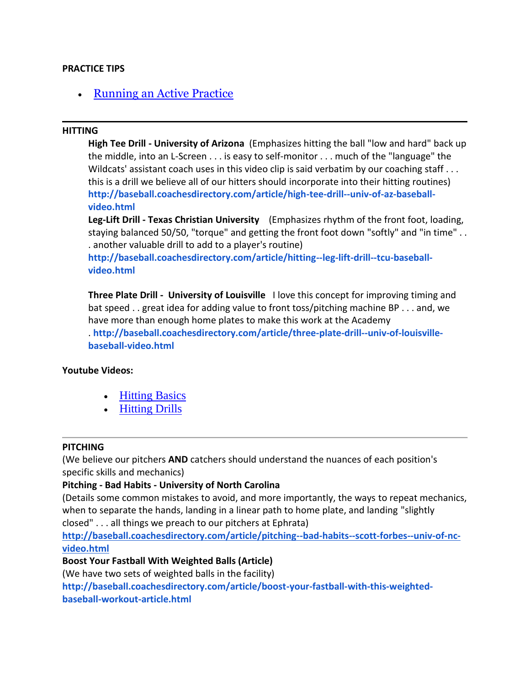#### **PRACTICE TIPS**

• [Running an Active Practice](https://www.youtube.com/watch?v=B6iAY7jzw70)

#### **HITTING**

**High Tee Drill - University of Arizona** (Emphasizes hitting the ball "low and hard" back up the middle, into an L-Screen . . . is easy to self-monitor . . . much of the "language" the Wildcats' assistant coach uses in this video clip is said verbatim by our coaching staff . . . this is a drill we believe all of our hitters should incorporate into their hitting routines) **[http://baseball.coachesdirectory.com/article/high-tee-drill--univ-of-az-baseball](http://baseball.coachesdirectory.com/article/high-tee-drill--univ-of-az-baseball-video.html)[video.html](http://baseball.coachesdirectory.com/article/high-tee-drill--univ-of-az-baseball-video.html)**

**Leg-Lift Drill - Texas Christian University** (Emphasizes rhythm of the front foot, loading, staying balanced 50/50, "torque" and getting the front foot down "softly" and "in time" . . . another valuable drill to add to a player's routine)

**[http://baseball.coachesdirectory.com/article/hitting--leg-lift-drill--tcu-baseball](http://baseball.coachesdirectory.com/article/hitting--leg-lift-drill--tcu-baseball-video.html)[video.html](http://baseball.coachesdirectory.com/article/hitting--leg-lift-drill--tcu-baseball-video.html)**

**Three Plate Drill - University of Louisville** I love this concept for improving timing and bat speed . . great idea for adding value to front toss/pitching machine BP . . . and, we have more than enough home plates to make this work at the Academy . **[http://baseball.coachesdirectory.com/article/three-plate-drill--univ-of-louisville](http://baseball.coachesdirectory.com/article/three-plate-drill--univ-of-louisville-baseball-video.html)[baseball-video.html](http://baseball.coachesdirectory.com/article/three-plate-drill--univ-of-louisville-baseball-video.html)**

#### **Youtube Videos:**

- [Hitting Basics](https://www.youtube.com/watch?v=4d9K0m_VR2k)
- [Hitting Drills](https://www.youtube.com/watch?v=fcxzgjXpcQ8)

#### **PITCHING**

(We believe our pitchers **AND** catchers should understand the nuances of each position's specific skills and mechanics)

# **Pitching - Bad Habits - University of North Carolina**

(Details some common mistakes to avoid, and more importantly, the ways to repeat mechanics, when to separate the hands, landing in a linear path to home plate, and landing "slightly closed" . . . all things we preach to our pitchers at Ephrata)

**[http://baseball.coachesdirectory.com/article/pitching--bad-habits--scott-forbes--univ-of-nc](http://baseball.coachesdirectory.com/article/pitching--bad-habits--scott-forbes--univ-of-nc-video.html)[video.html](http://baseball.coachesdirectory.com/article/pitching--bad-habits--scott-forbes--univ-of-nc-video.html)**

# **Boost Your Fastball With Weighted Balls (Article)**

(We have two sets of weighted balls in the facility)

**[http://baseball.coachesdirectory.com/article/boost-your-fastball-with-this-weighted](http://baseball.coachesdirectory.com/article/boost-your-fastball-with-this-weighted-baseball-workout-article.html)[baseball-workout-article.html](http://baseball.coachesdirectory.com/article/boost-your-fastball-with-this-weighted-baseball-workout-article.html)**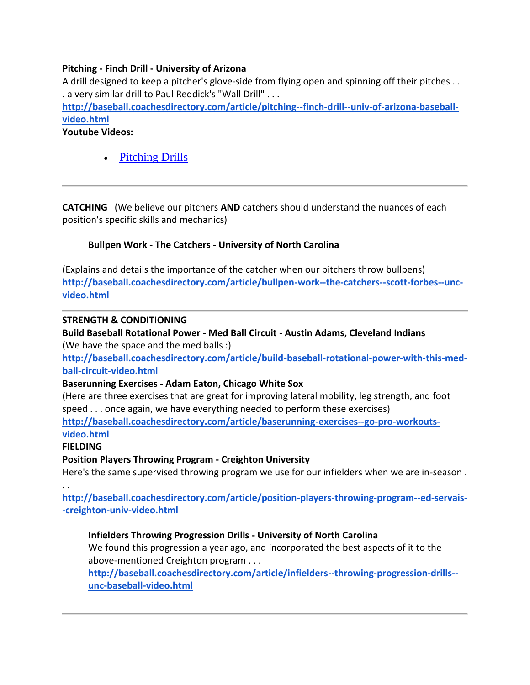# **Pitching - Finch Drill - University of Arizona**

A drill designed to keep a pitcher's glove-side from flying open and spinning off their pitches . . . a very similar drill to Paul Reddick's "Wall Drill" . . .

**[http://baseball.coachesdirectory.com/article/pitching--finch-drill--univ-of-arizona-baseball](http://baseball.coachesdirectory.com/article/pitching--finch-drill--univ-of-arizona-baseball-video.html)[video.html](http://baseball.coachesdirectory.com/article/pitching--finch-drill--univ-of-arizona-baseball-video.html)**

**Youtube Videos:**

[Pitching Drills](https://www.youtube.com/watch?v=d8vyiAofA9o)

**CATCHING** (We believe our pitchers **AND** catchers should understand the nuances of each position's specific skills and mechanics)

# **Bullpen Work - The Catchers - University of North Carolina**

(Explains and details the importance of the catcher when our pitchers throw bullpens) **[http://baseball.coachesdirectory.com/article/bullpen-work--the-catchers--scott-forbes--unc](http://baseball.coachesdirectory.com/article/bullpen-work--the-catchers--scott-forbes--unc-video.html)[video.html](http://baseball.coachesdirectory.com/article/bullpen-work--the-catchers--scott-forbes--unc-video.html)**

#### **STRENGTH & CONDITIONING**

**Build Baseball Rotational Power - Med Ball Circuit - Austin Adams, Cleveland Indians** (We have the space and the med balls :)

**[http://baseball.coachesdirectory.com/article/build-baseball-rotational-power-with-this-med](http://baseball.coachesdirectory.com/article/build-baseball-rotational-power-with-this-med-ball-circuit-video.html)[ball-circuit-video.html](http://baseball.coachesdirectory.com/article/build-baseball-rotational-power-with-this-med-ball-circuit-video.html)**

# **Baserunning Exercises - Adam Eaton, Chicago White Sox**

(Here are three exercises that are great for improving lateral mobility, leg strength, and foot speed . . . once again, we have everything needed to perform these exercises) **[http://baseball.coachesdirectory.com/article/baserunning-exercises--go-pro-workouts](http://baseball.coachesdirectory.com/article/baserunning-exercises--go-pro-workouts-video.html)[video.html](http://baseball.coachesdirectory.com/article/baserunning-exercises--go-pro-workouts-video.html)**

#### **FIELDING**

# **Position Players Throwing Program - Creighton University**

Here's the same supervised throwing program we use for our infielders when we are in-season .

. .

**[http://baseball.coachesdirectory.com/article/position-players-throwing-program--ed-servais-](http://baseball.coachesdirectory.com/article/position-players-throwing-program--ed-servais--creighton-univ-video.html) [-creighton-univ-video.html](http://baseball.coachesdirectory.com/article/position-players-throwing-program--ed-servais--creighton-univ-video.html)**

# **Infielders Throwing Progression Drills - University of North Carolina**

We found this progression a year ago, and incorporated the best aspects of it to the above-mentioned Creighton program . . .

**[http://baseball.coachesdirectory.com/article/infielders--throwing-progression-drills-](http://baseball.coachesdirectory.com/article/infielders--throwing-progression-drills--unc-baseball-video.html) [unc-baseball-video.html](http://baseball.coachesdirectory.com/article/infielders--throwing-progression-drills--unc-baseball-video.html)**